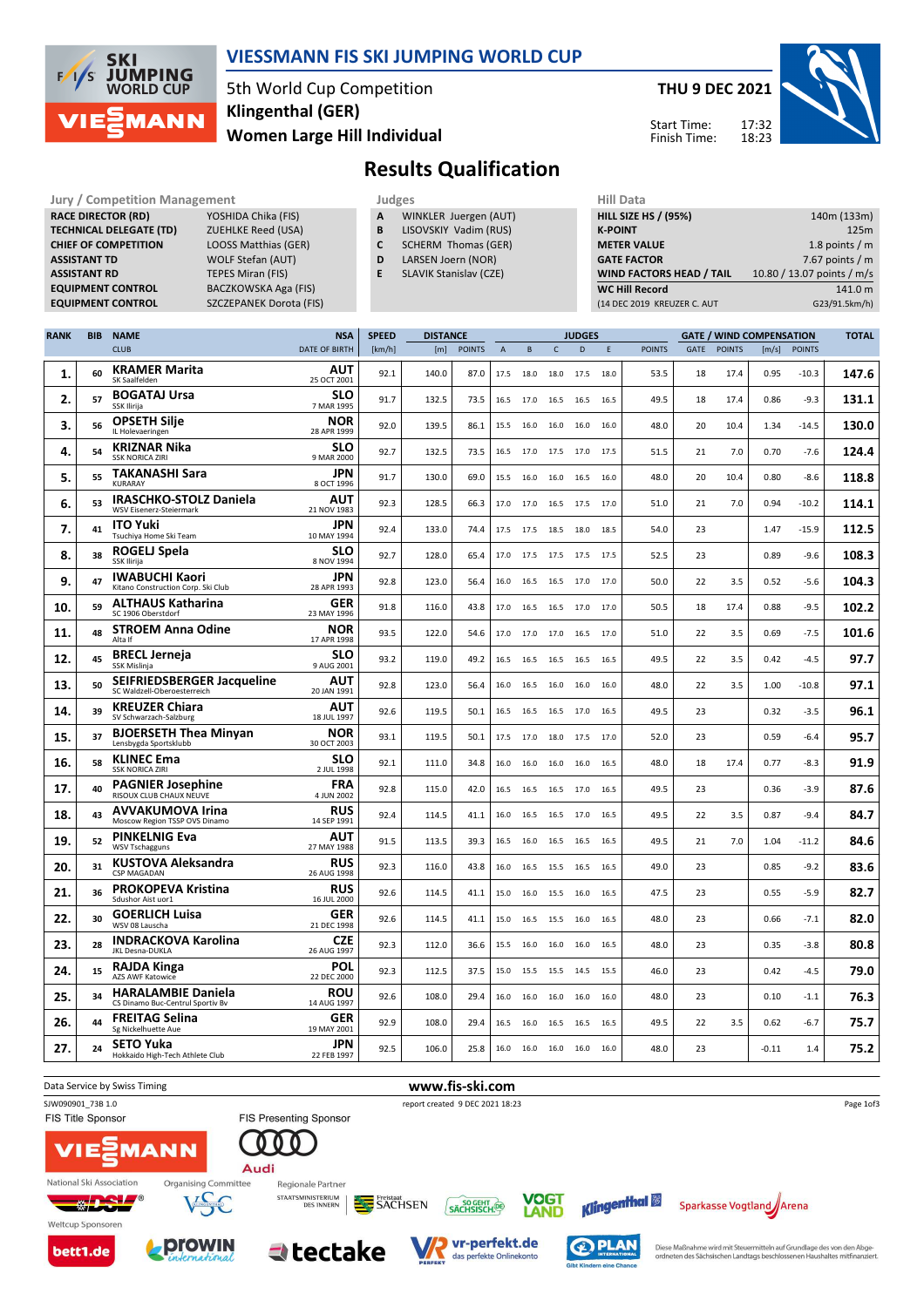

### VIESSMANN FIS SKI JUMPING WORLD CUP

5th World Cup Competition Women Large Hill Individual Klingenthal (GER)

THU 9 DEC 2021

Start Time: Finish Time:



# Results Qualification

Jury / Competition Management<br> **RACE DIRECTOR (RD)** YOSHIDA Chika (FIS) **A** WINKLER Juergen (AUT) **HILL SIZE HILL SIZE F** RACE DIRECTOR (RD) **TECHNICAL DELEGATE (TD)** ZUEHLKE Reed (USA)<br> **CHIEF OF COMPETITION** LOOSS Matthias (GER) CHIEF OF COMPETITION ASSISTANT TD WOLF Stefan (AUT) **ASSISTANT RD** TEPES Miran (FIS)<br> **EQUIPMENT CONTROL** BACZKOWSKA Aga EQUIPMENT CONTROL SZCZEPANEK Dorota (FIS)

BACZKOWSKA Aga (FIS)

- A WINKLER Juergen (AUT)
- **B** LISOVSKIY Vadim (RUS)<br>**C** SCHERM Thomas (GER) SCHERM Thomas (GER)
- D LARSEN Joern (NOR)
- E SLAVIK Stanislav (CZE)

| <b>HILL SIZE HS / (95%)</b>     | 140m (133m)                |
|---------------------------------|----------------------------|
| <b>K-POINT</b>                  | 125m                       |
| <b>METER VALUE</b>              | 1.8 points $/m$            |
| <b>GATE FACTOR</b>              | 7.67 points $/m$           |
| <b>WIND FACTORS HEAD / TAIL</b> | 10.80 / 13.07 points / m/s |
| <b>WC Hill Record</b>           | 141.0 m                    |
| (14 DEC 2019 KREUZER C. AUT     | G23/91.5km/h)              |

| <b>RANK</b> | <b>BIB</b> | <b>NAME</b>                                                      | <b>NSA</b>                | <b>SPEED</b> | <b>DISTANCE</b> |               |                |           |                     | <b>JUDGES</b> |      |               |      | <b>GATE / WIND COMPENSATION</b> |       |               | <b>TOTAL</b> |
|-------------|------------|------------------------------------------------------------------|---------------------------|--------------|-----------------|---------------|----------------|-----------|---------------------|---------------|------|---------------|------|---------------------------------|-------|---------------|--------------|
|             |            | <b>CLUB</b>                                                      | DATE OF BIRTH             | [km/h]       | [m]             | <b>POINTS</b> | $\overline{A}$ | B         | $\mathsf{C}$        | D             | Ε    | <b>POINTS</b> | GATE | <b>POINTS</b>                   | [m/s] | <b>POINTS</b> |              |
| 1.          | 60         | <b>KRAMER Marita</b><br>SK Saalfelden                            | AUT<br>25 OCT 2001        | 92.1         | 140.0           | 87.0          | 17.5           | 18.0      | 18.0                | 17.5          | 18.0 | 53.5          | 18   | 17.4                            | 0.95  | $-10.3$       | 147.6        |
| 2.          | 57         | <b>BOGATAJ Ursa</b><br>SSK Ilirija                               | SLO<br>7 MAR 1995         | 91.7         | 132.5           | 73.5          | 16.5           | 17.0      | 16.5                | 16.5          | 16.5 | 49.5          | 18   | 17.4                            | 0.86  | $-9.3$        | 131.1        |
| 3.          | 56         | <b>OPSETH Silje</b><br>IL Holevaeringen                          | NOR<br>28 APR 1999        | 92.0         | 139.5           | 86.1          | 15.5           | 16.0      | 16.0                | 16.0          | 16.0 | 48.0          | 20   | 10.4                            | 1.34  | $-14.5$       | 130.0        |
| 4.          | 54         | <b>KRIZNAR Nika</b><br><b>SSK NORICA ZIRI</b>                    | SLO<br>9 MAR 2000         | 92.7         | 132.5           | 73.5          | 16.5           |           | 17.0 17.5           | 17.0          | 17.5 | 51.5          | 21   | 7.0                             | 0.70  | $-7.6$        | 124.4        |
| 5.          | 55         | <b>TAKANASHI Sara</b><br><b>KURARAY</b>                          | JPN<br>8 OCT 1996         | 91.7         | 130.0           | 69.0          | 15.5           | 16.0      | 16.0                | 16.5          | 16.0 | 48.0          | 20   | 10.4                            | 0.80  | $-8.6$        | 118.8        |
| 6.          | 53         | <b>IRASCHKO-STOLZ Daniela</b><br>WSV Eisenerz-Steiermark         | AUT<br>21 NOV 1983        | 92.3         | 128.5           | 66.3          | 17.0           | 17.0      | 16.5                | 17.5          | 17.0 | 51.0          | 21   | 7.0                             | 0.94  | $-10.2$       | 114.1        |
| 7.          | 41         | <b>ITO Yuki</b><br>Tsuchiya Home Ski Team                        | <b>JPN</b><br>10 MAY 1994 | 92.4         | 133.0           | 74.4          | 17.5           | 17.5 18.5 |                     | 18.0          | 18.5 | 54.0          | 23   |                                 | 1.47  | $-15.9$       | 112.5        |
| 8.          | 38         | ROGELJ Spela<br>SSK Ilirija                                      | SLO<br>8 NOV 1994         | 92.7         | 128.0           | 65.4          | 17.0           | 17.5      | 17.5                | 17.5          | 17.5 | 52.5          | 23   |                                 | 0.89  | -9.6          | 108.3        |
| 9.          | 47         | <b>IWABUCHI Kaori</b><br>Kitano Construction Corp. Ski Club      | <b>JPN</b><br>28 APR 1993 | 92.8         | 123.0           | 56.4          | 16.0           |           | 16.5 16.5 17.0 17.0 |               |      | 50.0          | 22   | 3.5                             | 0.52  | $-5.6$        | 104.3        |
| 10.         | 59         | <b>ALTHAUS Katharina</b><br>SC 1906 Oberstdorf                   | GER<br>23 MAY 1996        | 91.8         | 116.0           | 43.8          | 17.0           | 16.5      | 16.5                | 17.0          | 17.0 | 50.5          | 18   | 17.4                            | 0.88  | -9.5          | 102.2        |
| 11.         | 48         | <b>STROEM Anna Odine</b><br>Alta If                              | NOR<br>17 APR 1998        | 93.5         | 122.0           | 54.6          | 17.0           | 17.0      | 17.0                | 16.5          | 17.0 | 51.0          | 22   | 3.5                             | 0.69  | $-7.5$        | 101.6        |
| 12.         | 45         | <b>BRECL Jerneja</b><br>SSK Mislinja                             | SLO<br>9 AUG 2001         | 93.2         | 119.0           | 49.2          | 16.5           |           | 16.5 16.5           | 16.5          | 16.5 | 49.5          | 22   | 3.5                             | 0.42  | $-4.5$        | 97.7         |
| 13.         | 50         | <b>SEIFRIEDSBERGER Jacqueline</b><br>SC Waldzell-Oberoesterreich | AUT<br>20 JAN 1991        | 92.8         | 123.0           | 56.4          | 16.0           | 16.5      | 16.0                | 16.0          | 16.0 | 48.0          | 22   | 3.5                             | 1.00  | $-10.8$       | 97.1         |
| 14.         | 39         | <b>KREUZER Chiara</b><br>SV Schwarzach-Salzburg                  | AUT<br>18 JUL 1997        | 92.6         | 119.5           | 50.1          | 16.5           | 16.5      | 16.5                | 17.0          | 16.5 | 49.5          | 23   |                                 | 0.32  | $-3.5$        | 96.1         |
| 15.         | 37         | <b>BJOERSETH Thea Minyan</b><br>Lensbygda Sportsklubb            | <b>NOR</b><br>30 OCT 2003 | 93.1         | 119.5           | 50.1          | 17.5           |           | 17.0 18.0           | 17.5          | 17.0 | 52.0          | 23   |                                 | 0.59  | $-6.4$        | 95.7         |
| 16.         | 58         | <b>KLINEC Ema</b><br><b>SSK NORICA ZIRI</b>                      | SLO<br>2 JUL 1998         | 92.1         | 111.0           | 34.8          | 16.0           | 16.0      | 16.0                | 16.0          | 16.5 | 48.0          | 18   | 17.4                            | 0.77  | $-8.3$        | 91.9         |
| 17.         | 40         | <b>PAGNIER Josephine</b><br>RISOUX CLUB CHAUX NEUVE              | <b>FRA</b><br>4 JUN 2002  | 92.8         | 115.0           | 42.0          | 16.5           | 16.5      | 16.5                | 17.0          | 16.5 | 49.5          | 23   |                                 | 0.36  | $-3.9$        | 87.6         |
| 18.         | 43         | <b>AVVAKUMOVA Irina</b><br>Moscow Region TSSP OVS Dinamo         | <b>RUS</b><br>14 SEP 1991 | 92.4         | 114.5           | 41.1          | 16.0           | 16.5      | 16.5                | 17.0          | 16.5 | 49.5          | 22   | 3.5                             | 0.87  | $-9.4$        | 84.7         |
| 19.         | 52         | <b>PINKELNIG Eva</b><br><b>WSV Tschagguns</b>                    | AUT<br>27 MAY 1988        | 91.5         | 113.5           | 39.3          | 16.5           | 16.0      | 16.5                | 16.5          | 16.5 | 49.5          | 21   | 7.0                             | 1.04  | $-11.2$       | 84.6         |
| 20.         | 31         | <b>KUSTOVA Aleksandra</b><br><b>CSP MAGADAN</b>                  | <b>RUS</b><br>26 AUG 1998 | 92.3         | 116.0           | 43.8          | 16.0           |           | 16.5 15.5           | 16.5          | 16.5 | 49.0          | 23   |                                 | 0.85  | $-9.2$        | 83.6         |
| 21.         | 36         | <b>PROKOPEVA Kristina</b><br>Sdushor Aist uor1                   | <b>RUS</b><br>16 JUL 2000 | 92.6         | 114.5           | 41.1          | 15.0           | 16.0      | 15.5                | 16.0          | 16.5 | 47.5          | 23   |                                 | 0.55  | $-5.9$        | 82.7         |
| 22.         | 30         | <b>GOERLICH Luisa</b><br>WSV 08 Lauscha                          | <b>GER</b><br>21 DEC 1998 | 92.6         | 114.5           | 41.1          | 15.0           | 16.5      | 15.5                | 16.0          | 16.5 | 48.0          | 23   |                                 | 0.66  | -7.1          | 82.0         |
| 23.         | 28         | <b>INDRACKOVA Karolina</b><br>JKL Desna-DUKLA                    | <b>CZE</b><br>26 AUG 1997 | 92.3         | 112.0           | 36.6          | 15.5           |           | 16.0 16.0           | 16.0          | 16.5 | 48.0          | 23   |                                 | 0.35  | $-3.8$        | 80.8         |
| 24.         | 15         | <b>RAJDA Kinga</b><br>AZS AWF Katowice                           | <b>POL</b><br>22 DEC 2000 | 92.3         | 112.5           | 37.5          | 15.0           | 15.5      | 15.5                | 14.5          | 15.5 | 46.0          | 23   |                                 | 0.42  | -4.5          | 79.0         |
| 25.         | 34         | <b>HARALAMBIE Daniela</b><br>CS Dinamo Buc-Centrul Sportiv Bv    | ROU<br>14 AUG 1997        | 92.6         | 108.0           | 29.4          | 16.0           | 16.0      | 16.0                | 16.0          | 16.0 | 48.0          | 23   |                                 | 0.10  | -1.1          | 76.3         |
| 26.         | 44         | <b>FREITAG Selina</b><br>Sg Nickelhuette Aue                     | <b>GER</b><br>19 MAY 2001 | 92.9         | 108.0           | 29.4          | 16.5           |           | 16.0 16.5           | 16.5          | 16.5 | 49.5          | 22   | 3.5                             | 0.62  | $-6.7$        | 75.7         |
| 27.         | 24         | <b>SETO Yuka</b><br>Hokkaido High-Tech Athlete Club              | <b>JPN</b><br>22 FEB 1997 | 92.5         | 106.0           | 25.8          | 16.0           |           | 16.0 16.0           | 16.0          | 16.0 | 48.0          | 23   |                                 | -0.11 | 1.4           | 75.2         |

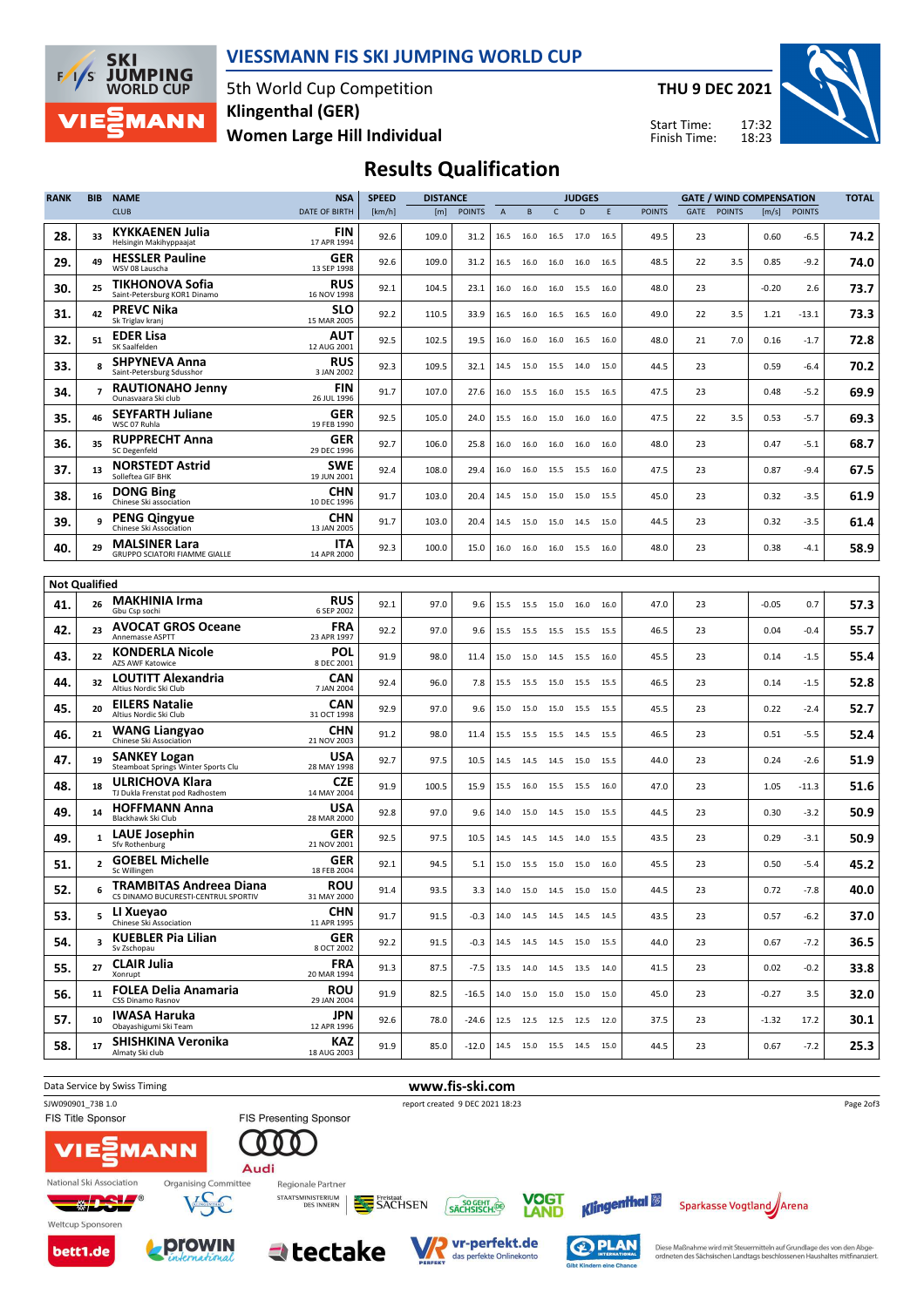

#### VIESSMANN FIS SKI JUMPING WORLD CUP

5th World Cup Competition Women Large Hill Individual Klingenthal (GER)

THU 9 DEC 2021

Start Time: Finish Time:



## Results Qualification

| <b>RANK</b>                 | <b>BIB</b>              | <b>NAME</b>                                                           | <b>NSA</b>                | <b>SPEED</b> | <b>DISTANCE</b> |               |             |      |                | <b>JUDGES</b>                |      |               |      |               | <b>GATE / WIND COMPENSATION</b> |               | <b>TOTAL</b> |
|-----------------------------|-------------------------|-----------------------------------------------------------------------|---------------------------|--------------|-----------------|---------------|-------------|------|----------------|------------------------------|------|---------------|------|---------------|---------------------------------|---------------|--------------|
|                             |                         | <b>CLUB</b>                                                           | DATE OF BIRTH             | [km/h]       | [m]             | <b>POINTS</b> | $\mathsf A$ | B    | C              | D                            | E    | <b>POINTS</b> | GATE | <b>POINTS</b> | [m/s]                           | <b>POINTS</b> |              |
| 28.                         | 33                      | <b>KYKKAENEN Julia</b><br>Helsingin Makihyppaajat                     | FIN<br>17 APR 1994        | 92.6         | 109.0           | 31.2          | 16.5        | 16.0 | 16.5 17.0      |                              | 16.5 | 49.5          | 23   |               | 0.60                            | $-6.5$        | 74.2         |
| 29.                         | 49                      | <b>HESSLER Pauline</b><br>WSV 08 Lauscha                              | GER<br>13 SEP 1998        | 92.6         | 109.0           | 31.2          | 16.5        | 16.0 | 16.0           | 16.0                         | 16.5 | 48.5          | 22   | 3.5           | 0.85                            | $-9.2$        | 74.0         |
| 30.                         | 25                      | TIKHONOVA Sofia<br>Saint-Petersburg KOR1 Dinamo                       | <b>RUS</b><br>16 NOV 1998 | 92.1         | 104.5           | 23.1          | 16.0        | 16.0 | 16.0           | 15.5                         | 16.0 | 48.0          | 23   |               | $-0.20$                         | 2.6           | 73.7         |
| 31.                         | 42                      | <b>PREVC Nika</b><br>Sk Triglav kranj                                 | SLO<br>15 MAR 2005        | 92.2         | 110.5           | 33.9          | 16.5        | 16.0 | 16.5           | 16.5                         | 16.0 | 49.0          | 22   | 3.5           | 1.21                            | -13.1         | 73.3         |
| 32.                         | 51                      | <b>EDER Lisa</b><br>SK Saalfelden                                     | AUT<br>12 AUG 2001        | 92.5         | 102.5           | 19.5          | 16.0        | 16.0 | 16.0           | 16.5                         | 16.0 | 48.0          | 21   | 7.0           | 0.16                            | $-1.7$        | 72.8         |
| 33.                         | 8                       | <b>SHPYNEVA Anna</b><br>Saint-Petersburg Sdusshor                     | <b>RUS</b><br>3 JAN 2002  | 92.3         | 109.5           | 32.1          | 14.5        | 15.0 | 15.5           | 14.0                         | 15.0 | 44.5          | 23   |               | 0.59                            | $-6.4$        | 70.2         |
| 34.                         | $\overline{ }$          | <b>RAUTIONAHO Jenny</b><br>Ounasvaara Ski club                        | <b>FIN</b><br>26 JUL 1996 | 91.7         | 107.0           | 27.6          | 16.0        | 15.5 | 16.0           | 15.5                         | 16.5 | 47.5          | 23   |               | 0.48                            | $-5.2$        | 69.9         |
| 35.                         | 46                      | <b>SEYFARTH Juliane</b><br>WSC 07 Ruhla                               | GER<br>19 FEB 1990        | 92.5         | 105.0           | 24.0          | 15.5        | 16.0 | 15.0           | 16.0                         | 16.0 | 47.5          | 22   | 3.5           | 0.53                            | $-5.7$        | 69.3         |
| 36.                         | 35                      | <b>RUPPRECHT Anna</b><br>SC Degenfeld                                 | <b>GER</b><br>29 DEC 1996 | 92.7         | 106.0           | 25.8          | 16.0        | 16.0 | 16.0           | 16.0                         | 16.0 | 48.0          | 23   |               | 0.47                            | $-5.1$        | 68.7         |
| 37.                         | 13                      | <b>NORSTEDT Astrid</b><br>Solleftea GIF BHK                           | <b>SWE</b><br>19 JUN 2001 | 92.4         | 108.0           | 29.4          | 16.0        | 16.0 | 15.5           | 15.5                         | 16.0 | 47.5          | 23   |               | 0.87                            | $-9.4$        | 67.5         |
| 38.                         | 16                      | <b>DONG Bing</b><br>Chinese Ski association                           | CHN<br>10 DEC 1996        | 91.7         | 103.0           | 20.4          | 14.5        | 15.0 | 15.0           | 15.0                         | 15.5 | 45.0          | 23   |               | 0.32                            | $-3.5$        | 61.9         |
| 39.                         | 9                       | <b>PENG Qingyue</b><br>Chinese Ski Association                        | CHN<br>13 JAN 2005        | 91.7         | 103.0           | 20.4          | 14.5        | 15.0 | 15.0           | 14.5                         | 15.0 | 44.5          | 23   |               | 0.32                            | $-3.5$        | 61.4         |
| 40.                         | 29                      | <b>MALSINER Lara</b><br>GRUPPO SCIATORI FIAMME GIALLE                 | ITA<br>14 APR 2000        | 92.3         | 100.0           | 15.0          | 16.0        | 16.0 | 16.0           | 15.5                         | 16.0 | 48.0          | 23   |               | 0.38                            | $-4.1$        | 58.9         |
|                             |                         |                                                                       |                           |              |                 |               |             |      |                |                              |      |               |      |               |                                 |               |              |
| <b>Not Qualified</b><br>41. | 26                      | <b>MAKHINIA Irma</b><br>Gbu Csp sochi                                 | <b>RUS</b><br>6 SEP 2002  | 92.1         | 97.0            | 9.6           | 15.5        | 15.5 | 15.0           | 16.0                         | 16.0 | 47.0          | 23   |               | $-0.05$                         | 0.7           | 57.3         |
| 42.                         | 23                      | <b>AVOCAT GROS Oceane</b><br>Annemasse ASPTT                          | <b>FRA</b><br>23 APR 1997 | 92.2         | 97.0            | 9.6           | 15.5        | 15.5 | 15.5           | 15.5                         | 15.5 | 46.5          | 23   |               | 0.04                            | -0.4          | 55.7         |
| 43.                         | 22                      | <b>KONDERLA Nicole</b><br>AZS AWF Katowice                            | POL<br>8 DEC 2001         | 91.9         | 98.0            | 11.4          | 15.0        | 15.0 |                | 14.5 15.5 16.0               |      | 45.5          | 23   |               | 0.14                            | $-1.5$        | 55.4         |
| 44.                         | 32                      | LOUTITT Alexandria<br>Altius Nordic Ski Club                          | CAN<br>7 JAN 2004         | 92.4         | 96.0            | 7.8           | 15.5        | 15.5 | 15.0           | 15.5                         | 15.5 | 46.5          | 23   |               | 0.14                            | $-1.5$        | 52.8         |
| 45.                         | 20                      | <b>EILERS Natalie</b><br>Altius Nordic Ski Club                       | CAN<br>31 OCT 1998        | 92.9         | 97.0            | 9.6           | 15.0        | 15.0 | 15.0           | 15.5                         | 15.5 | 45.5          | 23   |               | 0.22                            | $-2.4$        | 52.7         |
| 46.                         | 21                      | <b>WANG Liangyao</b><br>Chinese Ski Association                       | CHN<br>21 NOV 2003        | 91.2         | 98.0            | 11.4          | 15.5        | 15.5 | 15.5           | 14.5                         | 15.5 | 46.5          | 23   |               | 0.51                            | $-5.5$        | 52.4         |
| 47.                         | 19                      | <b>SANKEY Logan</b><br>Steamboat Springs Winter Sports Clu            | USA<br>28 MAY 1998        | 92.7         | 97.5            | 10.5          | 14.5        |      | 14.5 14.5 15.0 |                              | 15.5 | 44.0          | 23   |               | 0.24                            | $-2.6$        | 51.9         |
| 48.                         | 18                      | ULRICHOVA Klara<br>TJ Dukla Frenstat pod Radhostem                    | <b>CZE</b><br>14 MAY 2004 | 91.9         | 100.5           | 15.9          | 15.5        | 16.0 | 15.5 15.5      |                              | 16.0 | 47.0          | 23   |               | 1.05                            | $-11.3$       | 51.6         |
| 49.                         | 14                      | <b>HOFFMANN Anna</b><br>Blackhawk Ski Club                            | USA<br>28 MAR 2000        | 92.8         | 97.0            | 9.6           | 14.0        | 15.0 | 14.5           | 15.0                         | 15.5 | 44.5          | 23   |               | 0.30                            | -3.2          | 50.9         |
| 49.                         | $\mathbf{1}$            | <b>LAUE Josephin</b><br>Sfv Rothenburg                                | GER<br>21 NOV 2001        | 92.5         | 97.5            | 10.5          | 14.5        | 14.5 | 14.5           | 14.0                         | 15.5 | 43.5          | 23   |               | 0.29                            | $-3.1$        | 50.9         |
| 51.                         | $\mathbf{z}$            | <b>GOEBEL Michelle</b><br>Sc Willingen                                | GER<br>18 FEB 2004        | 92.1         | 94.5            | 5.1           | 15.0        |      | 15.5 15.0 15.0 |                              | 16.0 | 45.5          | 23   |               | 0.50                            | $-5.4$        | 45.2         |
| 52.                         |                         | <b>TRAMBITAS Andreea Diana</b><br>CS DINAMO BUCURESTI-CENTRUL SPORTIV | <b>ROU</b><br>31 MAY 2000 | 91.4         | 93.5            | 3.3           |             |      |                | 14.0  15.0  14.5  15.0  15.0 |      | 44.5          | 23   |               | 0.72                            | -7.8          | 40.0         |
| 53.                         |                         | <sub>5</sub> LI Xueyao<br>Chinese Ski Association                     | <b>CHN</b><br>11 APR 1995 | 91.7         | 91.5            | $-0.3$        |             |      |                | 14.0  14.5  14.5  14.5  14.5 |      | 43.5          | 23   |               | 0.57                            | $-6.2$        | 37.0         |
| 54.                         | $\overline{\mathbf{3}}$ | <b>KUEBLER Pia Lilian</b><br>Sv Zschopau                              | <b>GER</b><br>8 OCT 2002  | 92.2         | 91.5            | $-0.3$        |             |      |                | 14.5  14.5  14.5  15.0  15.5 |      | 44.0          | 23   |               | 0.67                            | $-7.2$        | 36.5         |
| 55.                         | 27                      | <b>CLAIR Julia</b><br>Xonrupt                                         | <b>FRA</b><br>20 MAR 1994 | 91.3         | 87.5            | $-7.5$        |             |      |                | 13.5 14.0 14.5 13.5 14.0     |      | 41.5          | 23   |               | 0.02                            | $-0.2$        | 33.8         |
| 56.                         | 11                      | <b>FOLEA Delia Anamaria</b><br><b>CSS Dinamo Rasnov</b>               | <b>ROU</b><br>29 JAN 2004 | 91.9         | 82.5            | $-16.5$       |             |      |                | 14.0  15.0  15.0  15.0  15.0 |      | 45.0          | 23   |               | $-0.27$                         | 3.5           | 32.0         |
| 57.                         | 10                      | <b>IWASA Haruka</b><br>Obayashigumi Ski Team                          | JPN<br>12 APR 1996        | 92.6         | 78.0            | $-24.6$       |             |      |                | 12.5 12.5 12.5 12.5 12.0     |      | 37.5          | 23   |               | $-1.32$                         | 17.2          | 30.1         |
| 58.                         | 17                      | SHISHKINA Veronika<br>Almaty Ski club                                 | KAZ<br>18 AUG 2003        | 91.9         | 85.0            | $-12.0$       |             |      |                | 14.5 15.0 15.5 14.5 15.0     |      | 44.5          | 23   |               | 0.67                            | $-7.2$        | 25.3         |